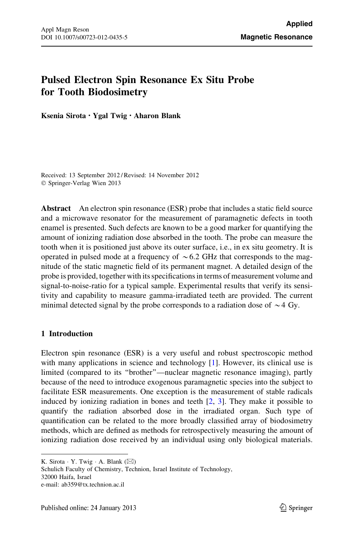# <span id="page-0-0"></span>Pulsed Electron Spin Resonance Ex Situ Probe for Tooth Biodosimetry

Ksenia Sirota • Ygal Twig • Aharon Blank

Received: 13 September 2012 / Revised: 14 November 2012 © Springer-Verlag Wien 2013

Abstract An electron spin resonance (ESR) probe that includes a static field source and a microwave resonator for the measurement of paramagnetic defects in tooth enamel is presented. Such defects are known to be a good marker for quantifying the amount of ionizing radiation dose absorbed in the tooth. The probe can measure the tooth when it is positioned just above its outer surface, i.e., in ex situ geometry. It is operated in pulsed mode at a frequency of  $\sim 6.2$  GHz that corresponds to the magnitude of the static magnetic field of its permanent magnet. A detailed design of the probe is provided, together with its specifications in terms of measurement volume and signal-to-noise-ratio for a typical sample. Experimental results that verify its sensitivity and capability to measure gamma-irradiated teeth are provided. The current minimal detected signal by the probe corresponds to a radiation dose of  $\sim$  4 Gy.

## 1 Introduction

Electron spin resonance (ESR) is a very useful and robust spectroscopic method with many applications in science and technology [[1\]](#page-17-0). However, its clinical use is limited (compared to its ''brother''—nuclear magnetic resonance imaging), partly because of the need to introduce exogenous paramagnetic species into the subject to facilitate ESR measurements. One exception is the measurement of stable radicals induced by ionizing radiation in bones and teeth  $[2, 3]$  $[2, 3]$  $[2, 3]$ . They make it possible to quantify the radiation absorbed dose in the irradiated organ. Such type of quantification can be related to the more broadly classified array of biodosimetry methods, which are defined as methods for retrospectively measuring the amount of ionizing radiation dose received by an individual using only biological materials.

K. Sirota  $\cdot$  Y. Twig  $\cdot$  A. Blank ( $\boxtimes$ )

Schulich Faculty of Chemistry, Technion, Israel Institute of Technology, 32000 Haifa, Israel e-mail: ab359@tx.technion.ac.il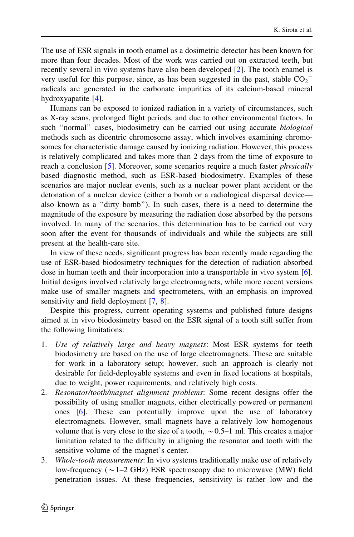The use of ESR signals in tooth enamel as a dosimetric detector has been known for more than four decades. Most of the work was carried out on extracted teeth, but recently several in vivo systems have also been developed [[2\]](#page-17-0). The tooth enamel is very useful for this purpose, since, as has been suggested in the past, stable  $CO_2$ <sup>-</sup> radicals are generated in the carbonate impurities of its calcium-based mineral hydroxyapatite [[4\]](#page-17-0).

Humans can be exposed to ionized radiation in a variety of circumstances, such as X-ray scans, prolonged flight periods, and due to other environmental factors. In such "normal" cases, biodosimetry can be carried out using accurate *biological* methods such as dicentric chromosome assay, which involves examining chromosomes for characteristic damage caused by ionizing radiation. However, this process is relatively complicated and takes more than 2 days from the time of exposure to reach a conclusion [[5\]](#page-17-0). Moreover, some scenarios require a much faster *physically* based diagnostic method, such as ESR-based biodosimetry. Examples of these scenarios are major nuclear events, such as a nuclear power plant accident or the detonation of a nuclear device (either a bomb or a radiological dispersal device also known as a ''dirty bomb''). In such cases, there is a need to determine the magnitude of the exposure by measuring the radiation dose absorbed by the persons involved. In many of the scenarios, this determination has to be carried out very soon after the event for thousands of individuals and while the subjects are still present at the health-care site.

In view of these needs, significant progress has been recently made regarding the use of ESR-based biodosimetry techniques for the detection of radiation absorbed dose in human teeth and their incorporation into a transportable in vivo system [[6\]](#page-17-0). Initial designs involved relatively large electromagnets, while more recent versions make use of smaller magnets and spectrometers, with an emphasis on improved sensitivity and field deployment [\[7](#page-17-0), [8](#page-17-0)].

Despite this progress, current operating systems and published future designs aimed at in vivo biodosimetry based on the ESR signal of a tooth still suffer from the following limitations:

- 1. Use of relatively large and heavy magnets: Most ESR systems for teeth biodosimetry are based on the use of large electromagnets. These are suitable for work in a laboratory setup; however, such an approach is clearly not desirable for field-deployable systems and even in fixed locations at hospitals, due to weight, power requirements, and relatively high costs.
- 2. Resonator/tooth/magnet alignment problems: Some recent designs offer the possibility of using smaller magnets, either electrically powered or permanent ones [[6\]](#page-17-0). These can potentially improve upon the use of laboratory electromagnets. However, small magnets have a relatively low homogenous volume that is very close to the size of a tooth,  $\sim 0.5-1$  ml. This creates a major limitation related to the difficulty in aligning the resonator and tooth with the sensitive volume of the magnet's center.
- 3. Whole-tooth measurements: In vivo systems traditionally make use of relatively low-frequency ( $\sim$  1–2 GHz) ESR spectroscopy due to microwave (MW) field penetration issues. At these frequencies, sensitivity is rather low and the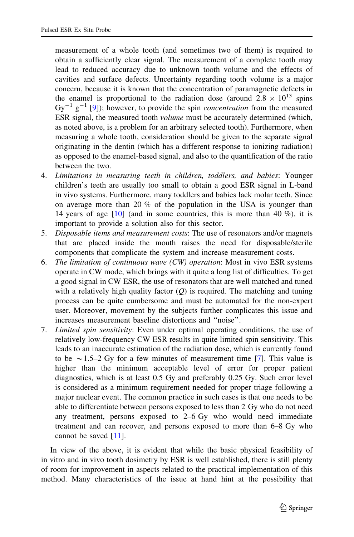measurement of a whole tooth (and sometimes two of them) is required to obtain a sufficiently clear signal. The measurement of a complete tooth may lead to reduced accuracy due to unknown tooth volume and the effects of cavities and surface defects. Uncertainty regarding tooth volume is a major concern, because it is known that the concentration of paramagnetic defects in the enamel is proportional to the radiation dose (around  $2.8 \times 10^{13}$  spins  $Gy^{-1}$  g<sup>-1</sup> [[9\]](#page-17-0)); however, to provide the spin *concentration* from the measured ESR signal, the measured tooth volume must be accurately determined (which, as noted above, is a problem for an arbitrary selected tooth). Furthermore, when measuring a whole tooth, consideration should be given to the separate signal originating in the dentin (which has a different response to ionizing radiation) as opposed to the enamel-based signal, and also to the quantification of the ratio between the two.

- 4. Limitations in measuring teeth in children, toddlers, and babies: Younger children's teeth are usually too small to obtain a good ESR signal in L-band in vivo systems. Furthermore, many toddlers and babies lack molar teeth. Since on average more than 20 % of the population in the USA is younger than 14 years of age  $[10]$  $[10]$  (and in some countries, this is more than 40 %), it is important to provide a solution also for this sector.
- 5. Disposable items and measurement costs: The use of resonators and/or magnets that are placed inside the mouth raises the need for disposable/sterile components that complicate the system and increase measurement costs.
- 6. The limitation of continuous wave (CW) operation: Most in vivo ESR systems operate in CW mode, which brings with it quite a long list of difficulties. To get a good signal in CW ESR, the use of resonators that are well matched and tuned with a relatively high quality factor  $(Q)$  is required. The matching and tuning process can be quite cumbersome and must be automated for the non-expert user. Moreover, movement by the subjects further complicates this issue and increases measurement baseline distortions and ''noise''.
- 7. Limited spin sensitivity: Even under optimal operating conditions, the use of relatively low-frequency CW ESR results in quite limited spin sensitivity. This leads to an inaccurate estimation of the radiation dose, which is currently found to be  $\sim$  1.5–2 Gy for a few minutes of measurement time [\[7](#page-17-0)]. This value is higher than the minimum acceptable level of error for proper patient diagnostics, which is at least 0.5 Gy and preferably 0.25 Gy. Such error level is considered as a minimum requirement needed for proper triage following a major nuclear event. The common practice in such cases is that one needs to be able to differentiate between persons exposed to less than 2 Gy who do not need any treatment, persons exposed to 2–6 Gy who would need immediate treatment and can recover, and persons exposed to more than 6–8 Gy who cannot be saved [[11\]](#page-17-0).

In view of the above, it is evident that while the basic physical feasibility of in vitro and in vivo tooth dosimetry by ESR is well established, there is still plenty of room for improvement in aspects related to the practical implementation of this method. Many characteristics of the issue at hand hint at the possibility that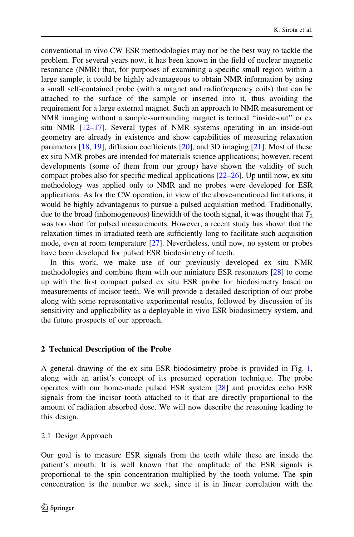conventional in vivo CW ESR methodologies may not be the best way to tackle the problem. For several years now, it has been known in the field of nuclear magnetic resonance (NMR) that, for purposes of examining a specific small region within a large sample, it could be highly advantageous to obtain NMR information by using a small self-contained probe (with a magnet and radiofrequency coils) that can be attached to the surface of the sample or inserted into it, thus avoiding the requirement for a large external magnet. Such an approach to NMR measurement or NMR imaging without a sample-surrounding magnet is termed ''inside-out'' or ex situ NMR [[12–17\]](#page-17-0). Several types of NMR systems operating in an inside-out geometry are already in existence and show capabilities of measuring relaxation parameters  $[18, 19]$  $[18, 19]$  $[18, 19]$  $[18, 19]$  $[18, 19]$ , diffusion coefficients  $[20]$  $[20]$ , and 3D imaging  $[21]$  $[21]$ . Most of these ex situ NMR probes are intended for materials science applications; however, recent developments (some of them from our group) have shown the validity of such compact probes also for specific medical applications [[22–26\]](#page-17-0). Up until now, ex situ methodology was applied only to NMR and no probes were developed for ESR applications. As for the CW operation, in view of the above-mentioned limitations, it would be highly advantageous to pursue a pulsed acquisition method. Traditionally, due to the broad (inhomogeneous) linewidth of the tooth signal, it was thought that  $T_2$ was too short for pulsed measurements. However, a recent study has shown that the relaxation times in irradiated teeth are sufficiently long to facilitate such acquisition mode, even at room temperature [\[27](#page-17-0)]. Nevertheless, until now, no system or probes have been developed for pulsed ESR biodosimetry of teeth.

In this work, we make use of our previously developed ex situ NMR methodologies and combine them with our miniature ESR resonators [\[28](#page-17-0)] to come up with the first compact pulsed ex situ ESR probe for biodosimetry based on measurements of incisor teeth. We will provide a detailed description of our probe along with some representative experimental results, followed by discussion of its sensitivity and applicability as a deployable in vivo ESR biodosimetry system, and the future prospects of our approach.

### 2 Technical Description of the Probe

A general drawing of the ex situ ESR biodosimetry probe is provided in Fig. [1,](#page-4-0) along with an artist's concept of its presumed operation technique. The probe operates with our home-made pulsed ESR system [[28\]](#page-17-0) and provides echo ESR signals from the incisor tooth attached to it that are directly proportional to the amount of radiation absorbed dose. We will now describe the reasoning leading to this design.

2.1 Design Approach

Our goal is to measure ESR signals from the teeth while these are inside the patient's mouth. It is well known that the amplitude of the ESR signals is proportional to the spin concentration multiplied by the tooth volume. The spin concentration is the number we seek, since it is in linear correlation with the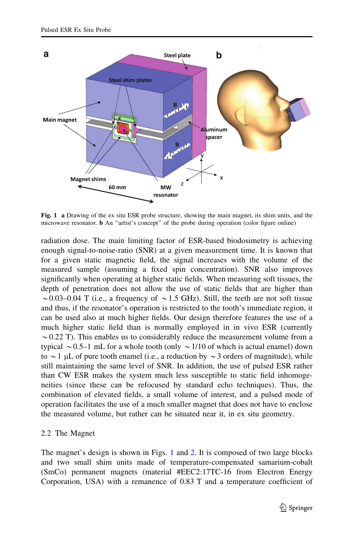<span id="page-4-0"></span>

Fig. 1 a Drawing of the ex situ ESR probe structure, showing the main magnet, its shim units, and the microwave resonator. b An ''artist's concept'' of the probe during operation (color figure online)

radiation dose. The main limiting factor of ESR-based biodosimetry is achieving enough signal-to-noise-ratio (SNR) at a given measurement time. It is known that for a given static magnetic field, the signal increases with the volume of the measured sample (assuming a fixed spin concentration). SNR also improves significantly when operating at higher static fields. When measuring soft tissues, the depth of penetration does not allow the use of static fields that are higher than  $\sim$  0.03–0.04 T (i.e., a frequency of  $\sim$  1.5 GHz). Still, the teeth are not soft tissue and thus, if the resonator's operation is restricted to the tooth's immediate region, it can be used also at much higher fields. Our design therefore features the use of a much higher static field than is normally employed in in vivo ESR (currently  $\sim$  0.22 T). This enables us to considerably reduce the measurement volume from a typical  $\sim$  0.5–1 mL for a whole tooth (only  $\sim$  1/10 of which is actual enamel) down to  $\sim$  1 µL of pure tooth enamel (i.e., a reduction by  $\sim$  3 orders of magnitude), while still maintaining the same level of SNR. In addition, the use of pulsed ESR rather than CW ESR makes the system much less susceptible to static field inhomogeneities (since these can be refocused by standard echo techniques). Thus, the combination of elevated fields, a small volume of interest, and a pulsed mode of operation facilitates the use of a much smaller magnet that does not have to enclose the measured volume, but rather can be situated near it, in ex situ geometry.

### 2.2 The Magnet

The magnet's design is shown in Figs. 1 and [2.](#page-5-0) It is composed of two large blocks and two small shim units made of temperature-compensated samarium-cobalt (SmCo) permanent magnets (material #EEC2:17TC-16 from Electron Energy Corporation, USA) with a remanence of 0.83 T and a temperature coefficient of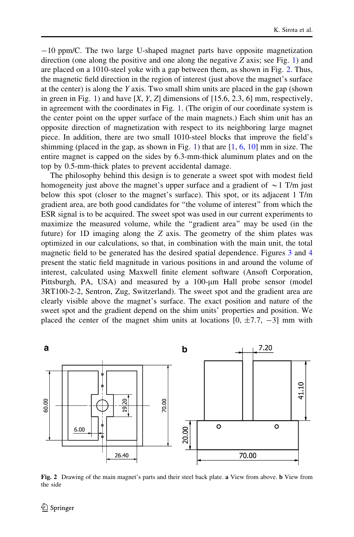<span id="page-5-0"></span> $-10$  ppm/C. The two large U-shaped magnet parts have opposite magnetization direction (one along the positive and one along the negative  $Z$  axis; see Fig. [1\)](#page-4-0) and are placed on a 1010-steel yoke with a gap between them, as shown in Fig. 2. Thus, the magnetic field direction in the region of interest (just above the magnet's surface at the center) is along the Y axis. Two small shim units are placed in the gap (shown in green in Fig. [1](#page-4-0)) and have  $[X, Y, Z]$  dimensions of [15.6, 2.3, 6] mm, respectively, in agreement with the coordinates in Fig. [1](#page-4-0). (The origin of our coordinate system is the center point on the upper surface of the main magnets.) Each shim unit has an opposite direction of magnetization with respect to its neighboring large magnet piece. In addition, there are two small 1010-steel blocks that improve the field's shimming (placed in the gap, as shown in Fig. [1](#page-4-0)) that are  $[1, 6, 10]$  $[1, 6, 10]$  $[1, 6, 10]$  $[1, 6, 10]$  $[1, 6, 10]$  $[1, 6, 10]$  mm in size. The entire magnet is capped on the sides by 6.3-mm-thick aluminum plates and on the top by 0.5-mm-thick plates to prevent accidental damage.

The philosophy behind this design is to generate a sweet spot with modest field homogeneity just above the magnet's upper surface and a gradient of  $\sim$  1 T/m just below this spot (closer to the magnet's surface). This spot, or its adjacent 1 T/m gradient area, are both good candidates for ''the volume of interest'' from which the ESR signal is to be acquired. The sweet spot was used in our current experiments to maximize the measured volume, while the ''gradient area'' may be used (in the future) for 1D imaging along the Z axis. The geometry of the shim plates was optimized in our calculations, so that, in combination with the main unit, the total magnetic field to be generated has the desired spatial dependence. Figures [3](#page-6-0) and [4](#page-7-0) present the static field magnitude in various positions in and around the volume of interest, calculated using Maxwell finite element software (Ansoft Corporation, Pittsburgh, PA, USA) and measured by a 100-µm Hall probe sensor (model 3RT100-2-2, Sentron, Zug, Switzerland). The sweet spot and the gradient area are clearly visible above the magnet's surface. The exact position and nature of the sweet spot and the gradient depend on the shim units' properties and position. We placed the center of the magnet shim units at locations  $[0, \pm 7.7, -3]$  mm with



Fig. 2 Drawing of the main magnet's parts and their steel back plate. a View from above. b View from the side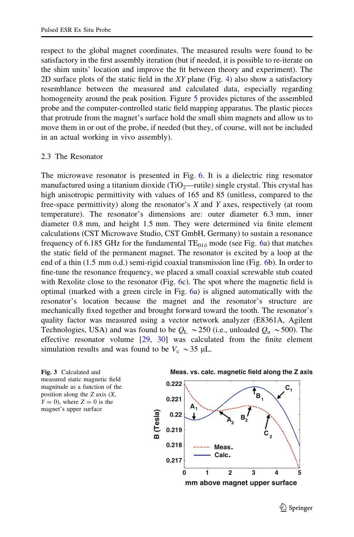<span id="page-6-0"></span>respect to the global magnet coordinates. The measured results were found to be satisfactory in the first assembly iteration (but if needed, it is possible to re-iterate on the shim units' location and improve the fit between theory and experiment). The 2D surface plots of the static field in the  $XY$  plane (Fig. [4](#page-7-0)) also show a satisfactory resemblance between the measured and calculated data, especially regarding homogeneity around the peak position. Figure [5](#page-8-0) provides pictures of the assembled probe and the computer-controlled static field mapping apparatus. The plastic pieces that protrude from the magnet's surface hold the small shim magnets and allow us to move them in or out of the probe, if needed (but they, of course, will not be included in an actual working in vivo assembly).

#### 2.3 The Resonator

The microwave resonator is presented in Fig. [6.](#page-9-0) It is a dielectric ring resonator manufactured using a titanium dioxide (TiO<sub>2</sub>—rutile) single crystal. This crystal has high anisotropic permittivity with values of 165 and 85 (unitless, compared to the free-space permittivity) along the resonator's  $X$  and  $Y$  axes, respectively (at room temperature). The resonator's dimensions are: outer diameter 6.3 mm, inner diameter 0.8 mm, and height 1.5 mm. They were determined via finite element calculations (CST Microwave Studio, CST GmbH, Germany) to sustain a resonance frequency of [6](#page-9-0).185 GHz for the fundamental  $TE<sub>01\delta</sub>$  mode (see Fig. 6a) that matches the static field of the permanent magnet. The resonator is excited by a loop at the end of a thin (1.5 mm o.d.) semi-rigid coaxial transmission line (Fig. [6](#page-9-0)b). In order to fine-tune the resonance frequency, we placed a small coaxial screwable stub coated with Rexolite close to the resonator (Fig. [6](#page-9-0)c). The spot where the magnetic field is optimal (marked with a green circle in Fig. [6a](#page-9-0)) is aligned automatically with the resonator's location because the magnet and the resonator's structure are mechanically fixed together and brought forward toward the tooth. The resonator's quality factor was measured using a vector network analyzer (E8361A, Agilent Technologies, USA) and was found to be  $Q_L \sim 250$  (i.e., unloaded  $Q_u \sim 500$ ). The effective resonator volume  $[29, 30]$  $[29, 30]$  $[29, 30]$  $[29, 30]$  was calculated from the finite element simulation results and was found to be  $V_c \sim 35 \mu L$ .



**mm above magnet upper surface**

 $\bigcirc$  Springer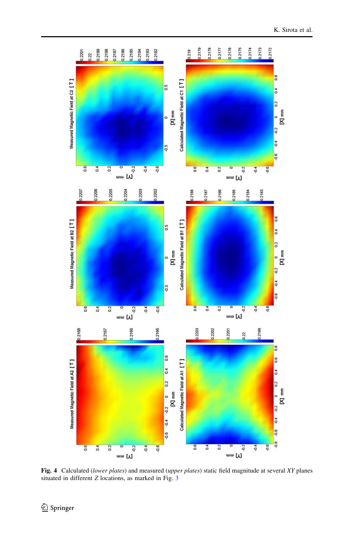<span id="page-7-0"></span>

Fig. 4 Calculated (lower plates) and measured (upper plates) static field magnitude at several XY planes situated in different Z locations, as marked in Fig. [3](#page-6-0)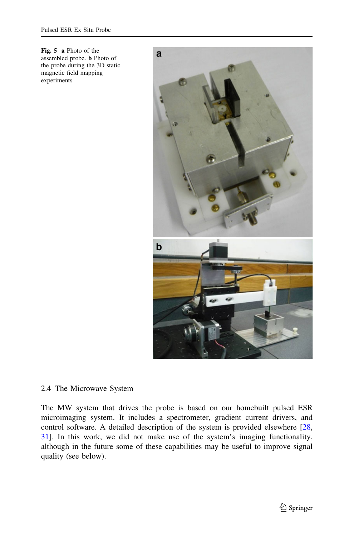<span id="page-8-0"></span>Fig. 5 a Photo of the assembled probe. b Photo of the probe during the 3D static magnetic field mapping experiments



## 2.4 The Microwave System

The MW system that drives the probe is based on our homebuilt pulsed ESR microimaging system. It includes a spectrometer, gradient current drivers, and control software. A detailed description of the system is provided elsewhere [[28,](#page-17-0) [31](#page-17-0)]. In this work, we did not make use of the system's imaging functionality, although in the future some of these capabilities may be useful to improve signal quality (see below).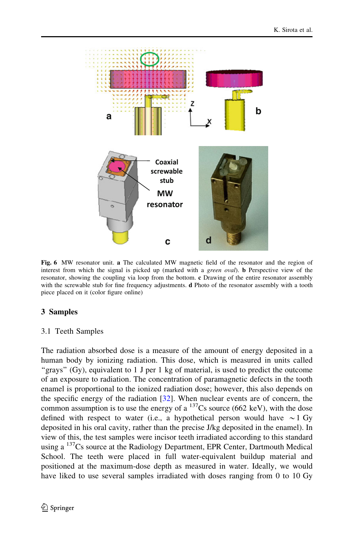<span id="page-9-0"></span>

Fig. 6 MW resonator unit. a The calculated MW magnetic field of the resonator and the region of interest from which the signal is picked up (marked with a *green oval*). **b** Perspective view of the resonator, showing the coupling via loop from the bottom. c Drawing of the entire resonator assembly with the screwable stub for fine frequency adjustments. **d** Photo of the resonator assembly with a tooth piece placed on it (color figure online)

# 3 Samples

## 3.1 Teeth Samples

The radiation absorbed dose is a measure of the amount of energy deposited in a human body by ionizing radiation. This dose, which is measured in units called ''grays'' (Gy), equivalent to 1 J per 1 kg of material, is used to predict the outcome of an exposure to radiation. The concentration of paramagnetic defects in the tooth enamel is proportional to the ionized radiation dose; however, this also depends on the specific energy of the radiation  $[32]$  $[32]$ . When nuclear events are of concern, the common assumption is to use the energy of a  $^{137}Cs$  source (662 keV), with the dose defined with respect to water (i.e., a hypothetical person would have  $\sim$ 1 Gy deposited in his oral cavity, rather than the precise J/kg deposited in the enamel). In view of this, the test samples were incisor teeth irradiated according to this standard using a <sup>137</sup>Cs source at the Radiology Department, EPR Center, Dartmouth Medical School. The teeth were placed in full water-equivalent buildup material and positioned at the maximum-dose depth as measured in water. Ideally, we would have liked to use several samples irradiated with doses ranging from 0 to 10 Gy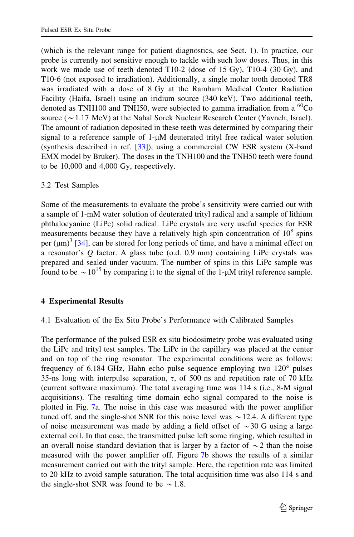(which is the relevant range for patient diagnostics, see Sect. [1\)](#page-0-0). In practice, our probe is currently not sensitive enough to tackle with such low doses. Thus, in this work we made use of teeth denoted T10-2 (dose of 15 Gy), T10-4 (30 Gy), and T10-6 (not exposed to irradiation). Additionally, a single molar tooth denoted TR8 was irradiated with a dose of 8 Gy at the Rambam Medical Center Radiation Facility (Haifa, Israel) using an iridium source (340 keV). Two additional teeth, denoted as TNH100 and TNH50, were subjected to gamma irradiation from a  ${}^{60}Co$ source ( $\sim$ 1.17 MeV) at the Nahal Sorek Nuclear Research Center (Yavneh, Israel). The amount of radiation deposited in these teeth was determined by comparing their signal to a reference sample of 1-µM deuterated trityl free radical water solution (synthesis described in ref. [[33\]](#page-18-0)), using a commercial CW ESR system (X-band EMX model by Bruker). The doses in the TNH100 and the TNH50 teeth were found to be 10,000 and 4,000 Gy, respectively.

# 3.2 Test Samples

Some of the measurements to evaluate the probe's sensitivity were carried out with a sample of 1-mM water solution of deuterated trityl radical and a sample of lithium phthalocyanine (LiPc) solid radical. LiPc crystals are very useful species for ESR measurements because they have a relatively high spin concentration of  $10^8$  spins per  $(\mu m)^3$  [\[34](#page-18-0)], can be stored for long periods of time, and have a minimal effect on a resonator's  $Q$  factor. A glass tube (o.d. 0.9 mm) containing LiPc crystals was prepared and sealed under vacuum. The number of spins in this LiPc sample was found to be  $\sim 10^{15}$  by comparing it to the signal of the 1- $\mu$ M trityl reference sample.

## 4 Experimental Results

# 4.1 Evaluation of the Ex Situ Probe's Performance with Calibrated Samples

The performance of the pulsed ESR ex situ biodosimetry probe was evaluated using the LiPc and trityl test samples. The LiPc in the capillary was placed at the center and on top of the ring resonator. The experimental conditions were as follows: frequency of  $6.184$  GHz, Hahn echo pulse sequence employing two  $120^\circ$  pulses 35-ns long with interpulse separation,  $\tau$ , of 500 ns and repetition rate of 70 kHz (current software maximum). The total averaging time was 114 s (i.e., 8-M signal acquisitions). The resulting time domain echo signal compared to the noise is plotted in Fig. [7](#page-11-0)a. The noise in this case was measured with the power amplifier tuned off, and the single-shot SNR for this noise level was  $\sim$  12.4. A different type of noise measurement was made by adding a field offset of  $\sim$ 30 G using a large external coil. In that case, the transmitted pulse left some ringing, which resulted in an overall noise standard deviation that is larger by a factor of  $\sim$  2 than the noise measured with the power amplifier off. Figure [7](#page-11-0)b shows the results of a similar measurement carried out with the trityl sample. Here, the repetition rate was limited to 20 kHz to avoid sample saturation. The total acquisition time was also 114 s and the single-shot SNR was found to be  $\sim$  1.8.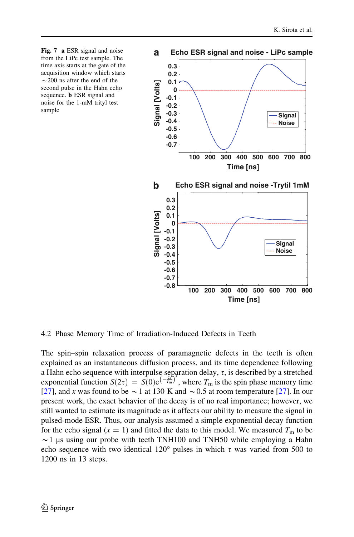<span id="page-11-0"></span>



4.2 Phase Memory Time of Irradiation-Induced Defects in Teeth

The spin–spin relaxation process of paramagnetic defects in the teeth is often explained as an instantaneous diffusion process, and its time dependence following a Hahn echo sequence with interpulse separation delay,  $\tau$ , is described by a stretched exponential function  $S(2\tau) = S(0)e^{(\frac{2\tau}{T_m})}$ , where  $T_m$  is the spin phase memory time [\[27](#page-17-0)], and x was found to be  $\sim$  1 at 130 K and  $\sim$  0.5 at room temperature [27]. In our present work, the exact behavior of the decay is of no real importance; however, we still wanted to estimate its magnitude as it affects our ability to measure the signal in pulsed-mode ESR. Thus, our analysis assumed a simple exponential decay function for the echo signal ( $x = 1$ ) and fitted the data to this model. We measured  $T<sub>m</sub>$  to be  $\sim$ 1 µs using our probe with teeth TNH100 and TNH50 while employing a Hahn echo sequence with two identical 120 $\degree$  pulses in which  $\tau$  was varied from 500 to 1200 ns in 13 steps.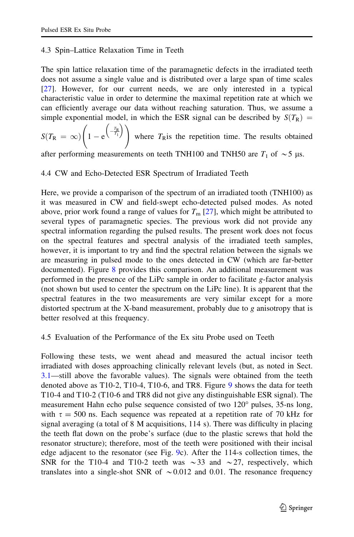# 4.3 Spin–Lattice Relaxation Time in Teeth

The spin lattice relaxation time of the paramagnetic defects in the irradiated teeth does not assume a single value and is distributed over a large span of time scales [\[27](#page-17-0)]. However, for our current needs, we are only interested in a typical characteristic value in order to determine the maximal repetition rate at which we can efficiently average our data without reaching saturation. Thus, we assume a simple exponential model, in which the ESR signal can be described by  $S(T_R) = \binom{T_R}{r}$ 

$$
S(T_{\rm R} = \infty) \left(1 - e^{\left(-\frac{T_{\rm R}}{T_{\rm l}}\right)}\right)
$$
 where  $T_{\rm R}$  is the repetition time. The results obtained

after performing measurements on teeth TNH100 and TNH50 are  $T_1$  of  $\sim$ 5  $\mu$ s.

# 4.4 CW and Echo-Detected ESR Spectrum of Irradiated Teeth

Here, we provide a comparison of the spectrum of an irradiated tooth (TNH100) as it was measured in CW and field-swept echo-detected pulsed modes. As noted above, prior work found a range of values for  $T_m$  [\[27](#page-17-0)], which might be attributed to several types of paramagnetic species. The previous work did not provide any spectral information regarding the pulsed results. The present work does not focus on the spectral features and spectral analysis of the irradiated teeth samples, however, it is important to try and find the spectral relation between the signals we are measuring in pulsed mode to the ones detected in CW (which are far-better documented). Figure [8](#page-13-0) provides this comparison. An additional measurement was performed in the presence of the LiPc sample in order to facilitate g-factor analysis (not shown but used to center the spectrum on the LiPc line). It is apparent that the spectral features in the two measurements are very similar except for a more distorted spectrum at the X-band measurement, probably due to g anisotropy that is better resolved at this frequency.

# 4.5 Evaluation of the Performance of the Ex situ Probe used on Teeth

Following these tests, we went ahead and measured the actual incisor teeth irradiated with doses approaching clinically relevant levels (but, as noted in Sect. [3.1](#page-9-0)—still above the favorable values). The signals were obtained from the teeth denoted above as T10-2, T10-4, T10-6, and TR8. Figure [9](#page-14-0) shows the data for teeth T10-4 and T10-2 (T10-6 and TR8 did not give any distinguishable ESR signal). The measurement Hahn echo pulse sequence consisted of two 120° pulses, 35-ns long, with  $\tau = 500$  ns. Each sequence was repeated at a repetition rate of 70 kHz for signal averaging (a total of 8 M acquisitions, 114 s). There was difficulty in placing the teeth flat down on the probe's surface (due to the plastic screws that hold the resonator structure); therefore, most of the teeth were positioned with their incisal edge adjacent to the resonator (see Fig. [9c](#page-14-0)). After the 114-s collection times, the SNR for the T10-4 and T10-2 teeth was  $\sim$ 33 and  $\sim$ 27, respectively, which translates into a single-shot SNR of  $\sim 0.012$  and 0.01. The resonance frequency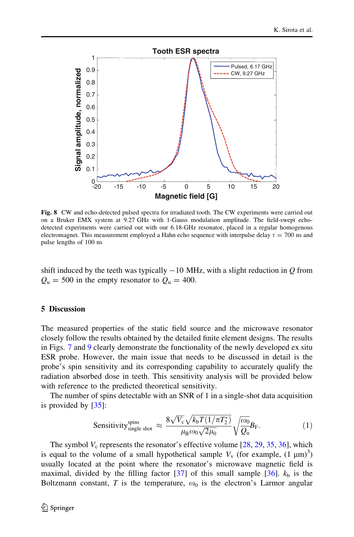<span id="page-13-0"></span>

Fig. 8 CW and echo-detected pulsed spectra for irradiated tooth. The CW experiments were carried out on a Bruker EMX system at 9.27 GHz with 1-Gauss modulation amplitude. The field-swept echodetected experiments were carried out with our 6.18-GHz resonator, placed in a regular homogenous electromagnet. This measurement employed a Hahn echo sequence with interpulse delay  $\tau = 700$  ns and pulse lengths of 100 ns

shift induced by the teeth was typically  $-10$  MHz, with a slight reduction in  $Q$  from  $Q_{\rm u} = 500$  in the empty resonator to  $Q_{\rm u} = 400$ .

## 5 Discussion

The measured properties of the static field source and the microwave resonator closely follow the results obtained by the detailed finite element designs. The results in Figs. [7](#page-11-0) and [9](#page-14-0) clearly demonstrate the functionality of the newly developed ex situ ESR probe. However, the main issue that needs to be discussed in detail is the probe's spin sensitivity and its corresponding capability to accurately qualify the radiation absorbed dose in teeth. This sensitivity analysis will be provided below with reference to the predicted theoretical sensitivity.

The number of spins detectable with an SNR of 1 in a single-shot data acquisition is provided by  $[35]$  $[35]$  $[35]$ :

Sensitivity<sub>single shot</sub> 
$$
\approx \frac{8\sqrt{V_c}\sqrt{k_bT(1/\pi T_2^*)}}{\mu_B\omega_0\sqrt{2\mu_0}}\sqrt{\frac{\omega_0}{Q_u}}B_F.
$$
 (1)

The symbol  $V_c$  represents the resonator's effective volume [\[28](#page-17-0), [29](#page-17-0), [35,](#page-18-0) [36\]](#page-18-0), which is equal to the volume of a small hypothetical sample  $V_v$  (for example,  $(1 \mu m)^3$ ) usually located at the point where the resonator's microwave magnetic field is maximal, divided by the filling factor  $\left[37\right]$  $\left[37\right]$  $\left[37\right]$  of this small sample  $\left[36\right]$ .  $k_{\rm b}$  is the Boltzmann constant, T is the temperature,  $\omega_0$  is the electron's Larmor angular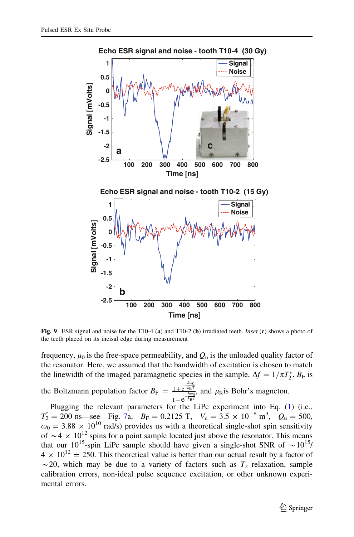<span id="page-14-0"></span>

**Echo ESR signal and noise - tooth T10-4 (30 Gy)**

Fig. 9 ESR signal and noise for the T10-4 (a) and T10-2 (b) irradiated teeth. Inset (c) shows a photo of the teeth placed on its incisal edge during measurement

frequency,  $\mu_0$  is the free-space permeability, and  $Q_u$  is the unloaded quality factor of the resonator. Here, we assumed that the bandwidth of excitation is chosen to match the linewidth of the imaged paramagnetic species in the sample,  $\Delta f = 1/\pi T_2^*$ .  $B_F$  is

the Boltzmann population factor  $B_F = \frac{1 + e^{-\frac{\hbar \omega_0}{k_B T}}}{\hbar \omega_0}$  $\frac{1+e^{-k_{\rm B}t}}{1-e^{-k_{\rm B}T}}$ , and  $\mu_{\rm B}$  is Bohr's magneton.

Plugging the relevant parameters for the LiPc experiment into Eq. ([1\)](#page-13-0) (i.e.,  $T_2^* = 200 \text{ ns}$  see Fig. [7](#page-11-0)a,  $B_F = 0.2125 \text{ T}$ ,  $V_c = 3.5 \times 10^{-8} \text{ m}^3$ ,  $Q_u = 500$ ,  $\omega_0 = 3.88 \times 10^{10}$  rad/s) provides us with a theoretical single-shot spin sensitivity of  $\sim$  4  $\times$  10<sup>12</sup> spins for a point sample located just above the resonator. This means that our  $10^{15}$ -spin LiPc sample should have given a single-shot SNR of  $\sim 10^{15}$ /  $4 \times 10^{12} = 250$ . This theoretical value is better than our actual result by a factor of  $\sim$  20, which may be due to a variety of factors such as  $T_2$  relaxation, sample calibration errors, non-ideal pulse sequence excitation, or other unknown experimental errors.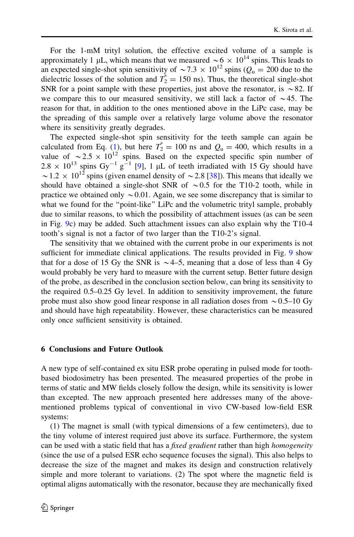For the 1-mM trityl solution, the effective excited volume of a sample is approximately 1 µL, which means that we measured  $\sim 6 \times 10^{14}$  spins. This leads to an expected single-shot spin sensitivity of  $\sim$  7.3  $\times$  10<sup>12</sup> spins ( $Q_u = 200$  due to the dielectric losses of the solution and  $T_2^* = 150$  ns). Thus, the theoretical single-shot SNR for a point sample with these properties, just above the resonator, is  $\sim 82$ . If we compare this to our measured sensitivity, we still lack a factor of  $\sim$ 45. The reason for that, in addition to the ones mentioned above in the LiPc case, may be the spreading of this sample over a relatively large volume above the resonator where its sensitivity greatly degrades.

The expected single-shot spin sensitivity for the teeth sample can again be calculated from Eq. [\(1](#page-13-0)), but here  $T_2^* = 100$  ns and  $Q_u = 400$ , which results in a value of  $\sim 2.5 \times 10^{12}$  spins. Based on the expected specific spin number of  $2.8 \times 10^{13}$  spins Gy<sup>-1</sup> g<sup>-1</sup> [[9\]](#page-17-0), 1 µL of teeth irradiated with 15 Gy should have  $\sim$  1.2  $\times$  10<sup>12</sup> spins (given enamel density of  $\sim$  2.8 [[38\]](#page-18-0)). This means that ideally we should have obtained a single-shot SNR of  $\sim 0.5$  for the T10-2 tooth, while in practice we obtained only  $\sim 0.01$ . Again, we see some discrepancy that is similar to what we found for the ''point-like'' LiPc and the volumetric trityl sample, probably due to similar reasons, to which the possibility of attachment issues (as can be seen in Fig. [9](#page-14-0)c) may be added. Such attachment issues can also explain why the T10-4 tooth's signal is not a factor of two larger than the T10-2's signal.

The sensitivity that we obtained with the current probe in our experiments is not sufficient for immediate clinical applications. The results provided in Fig. [9](#page-14-0) show that for a dose of 15 Gy the SNR is  $\sim$  4–5, meaning that a dose of less than 4 Gy would probably be very hard to measure with the current setup. Better future design of the probe, as described in the conclusion section below, can bring its sensitivity to the required 0.5–0.25 Gy level. In addition to sensitivity improvement, the future probe must also show good linear response in all radiation doses from  $\sim 0.5-10$  Gy and should have high repeatability. However, these characteristics can be measured only once sufficient sensitivity is obtained.

### 6 Conclusions and Future Outlook

A new type of self-contained ex situ ESR probe operating in pulsed mode for toothbased biodosimetry has been presented. The measured properties of the probe in terms of static and MW fields closely follow the design, while its sensitivity is lower than excepted. The new approach presented here addresses many of the abovementioned problems typical of conventional in vivo CW-based low-field ESR systems:

(1) The magnet is small (with typical dimensions of a few centimeters), due to the tiny volume of interest required just above its surface. Furthermore, the system can be used with a static field that has a *fixed gradient* rather than high *homogeneity* (since the use of a pulsed ESR echo sequence focuses the signal). This also helps to decrease the size of the magnet and makes its design and construction relatively simple and more tolerant to variations. (2) The spot where the magnetic field is optimal aligns automatically with the resonator, because they are mechanically fixed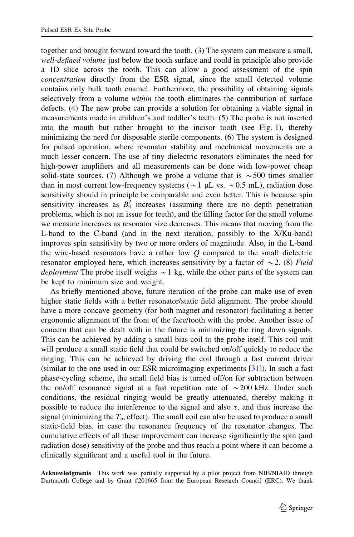together and brought forward toward the tooth. (3) The system can measure a small, well-defined volume just below the tooth surface and could in principle also provide a 1D slice across the tooth. This can allow a good assessment of the spin concentration directly from the ESR signal, since the small detected volume contains only bulk tooth enamel. Furthermore, the possibility of obtaining signals selectively from a volume within the tooth eliminates the contribution of surface defects. (4) The new probe can provide a solution for obtaining a viable signal in measurements made in children's and toddler's teeth. (5) The probe is not inserted into the mouth but rather brought to the incisor tooth (see Fig. [1](#page-4-0)), thereby minimizing the need for disposable sterile components. (6) The system is designed for pulsed operation, where resonator stability and mechanical movements are a much lesser concern. The use of tiny dielectric resonators eliminates the need for high-power amplifiers and all measurements can be done with low-power cheap solid-state sources. (7) Although we probe a volume that is  $\sim$  500 times smaller than in most current low-frequency systems ( $\sim$ 1 µL vs.  $\sim$ 0.5 mL), radiation dose sensitivity should in principle be comparable and even better. This is because spin sensitivity increases as  $B_0^2$  increases (assuming there are no depth penetration problems, which is not an issue for teeth), and the filling factor for the small volume we measure increases as resonator size decreases. This means that moving from the L-band to the C-band (and in the next iteration, possibly to the X/Ku-band) improves spin sensitivity by two or more orders of magnitude. Also, in the L-band the wire-based resonators have a rather low  $Q$  compared to the small dielectric resonator employed here, which increases sensitivity by a factor of  $\sim$  2. (8) Field deployment The probe itself weighs  $\sim$  1 kg, while the other parts of the system can be kept to minimum size and weight.

As briefly mentioned above, future iteration of the probe can make use of even higher static fields with a better resonator/static field alignment. The probe should have a more concave geometry (for both magnet and resonator) facilitating a better ergonomic alignment of the front of the face/tooth with the probe. Another issue of concern that can be dealt with in the future is minimizing the ring down signals. This can be achieved by adding a small bias coil to the probe itself. This coil unit will produce a small static field that could be switched on/off quickly to reduce the ringing. This can be achieved by driving the coil through a fast current driver (similar to the one used in our ESR microimaging experiments [\[31](#page-17-0)]). In such a fast phase-cycling scheme, the small field bias is turned off/on for subtraction between the on/off resonance signal at a fast repetition rate of  $\sim$  200 kHz. Under such conditions, the residual ringing would be greatly attenuated, thereby making it possible to reduce the interference to the signal and also  $\tau$ , and thus increase the signal (minimizing the  $T<sub>m</sub>$  effect). The small coil can also be used to produce a small static-field bias, in case the resonance frequency of the resonator changes. The cumulative effects of all these improvement can increase significantly the spin (and radiation dose) sensitivity of the probe and thus reach a point where it can become a clinically significant and a useful tool in the future.

Acknowledgments This work was partially supported by a pilot project from NIH/NIAID through Dartmouth College and by Grant #201665 from the European Research Council (ERC). We thank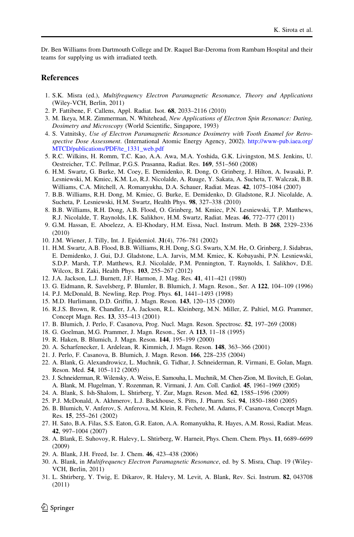<span id="page-17-0"></span>Dr. Ben Williams from Dartmouth College and Dr. Raquel Bar-Deroma from Rambam Hospital and their teams for supplying us with irradiated teeth.

#### **References**

- 1. S.K. Misra (ed.), Multifrequency Electron Paramagnetic Resonance, Theory and Applications (Wiley-VCH, Berlin, 2011)
- 2. P. Fattibene, F. Callens, Appl. Radiat. Isot. 68, 2033–2116 (2010)
- 3. M. Ikeya, M.R. Zimmerman, N. Whitehead, New Applications of Electron Spin Resonance: Dating, Dosimetry and Microscopy (World Scientific, Singapore, 1993)
- 4. S. Vatnitsky, Use of Electron Paramagnetic Resonance Dosimetry with Tooth Enamel for Retrospective Dose Assessment. (International Atomic Energy Agency, 2002). [http://www-pub.iaea.org/](http://www-pub.iaea.org/MTCD/publications/PDF/te_1331_web.pdf) [MTCD/publications/PDF/te\\_1331\\_web.pdf](http://www-pub.iaea.org/MTCD/publications/PDF/te_1331_web.pdf)
- 5. R.C. Wilkins, H. Romm, T.C. Kao, A.A. Awa, M.A. Yoshida, G.K. Livingston, M.S. Jenkins, U. Oestreicher, T.C. Pellmar, P.G.S. Prasanna, Radiat. Res. 169, 551–560 (2008)
- 6. H.M. Swartz, G. Burke, M. Coey, E. Demidenko, R. Dong, O. Grinberg, J. Hilton, A. Iwasaki, P. Lesniewski, M. Kmiec, K.M. Lo, R.J. Nicolalde, A. Ruuge, Y. Sakata, A. Sucheta, T. Walczak, B.B. Williams, C.A. Mitchell, A. Romanyukha, D.A. Schauer, Radiat. Meas. 42, 1075–1084 (2007)
- 7. B.B. Williams, R.H. Dong, M. Kmiec, G. Burke, E. Demidenko, D. Gladstone, R.J. Nicolalde, A. Sucheta, P. Lesniewski, H.M. Swartz, Health Phys. 98, 327–338 (2010)
- 8. B.B. Williams, R.H. Dong, A.B. Flood, O. Grinberg, M. Kmiec, P.N. Lesniewski, T.P. Matthews, R.J. Nicolalde, T. Raynolds, I.K. Salikhov, H.M. Swartz, Radiat. Meas. 46, 772–777 (2011)
- 9. G.M. Hassan, E. Aboelezz, A. El-Khodary, H.M. Eissa, Nucl. Instrum. Meth. B 268, 2329–2336 (2010)
- 10. J.M. Wiener, J. Tilly, Int. J. Epidemiol. 31(4), 776–781 (2002)
- 11. H.M. Swartz, A.B. Flood, B.B. Williams, R.H. Dong, S.G. Swarts, X.M. He, O. Grinberg, J. Sidabras, E. Demidenko, J. Gui, D.J. Gladstone, L.A. Jarvis, M.M. Kmiec, K. Kobayashi, P.N. Lesniewski, S.D.P. Marsh, T.P. Matthews, R.J. Nicolalde, P.M. Pennington, T. Raynolds, I. Salikhov, D.E. Wilcox, B.I. Zaki, Health Phys. 103, 255–267 (2012)
- 12. J.A. Jackson, L.J. Burnett, J.F. Harmon, J. Mag. Res. 41, 411–421 (1980)
- 13. G. Eidmann, R. Savelsberg, P. Blumler, B. Blumich, J. Magn. Reson., Ser. A 122, 104–109 (1996)
- 14. P.J. McDonald, B. Newling, Rep. Prog. Phys. 61, 1441–1493 (1998)
- 15. M.D. Hurlimann, D.D. Griffin, J. Magn. Reson. 143, 120–135 (2000)
- 16. R.J.S. Brown, R. Chandler, J.A. Jackson, R.L. Kleinberg, M.N. Miller, Z. Paltiel, M.G. Prammer, Concept Magn. Res. 13, 335–413 (2001)
- 17. B. Blumich, J. Perlo, F. Casanova, Prog. Nucl. Magn. Reson. Spectrosc. 52, 197–269 (2008)
- 18. G. Goelman, M.G. Prammer, J. Magn. Reson., Ser. A 113, 11–18 (1995)
- 19. R. Haken, B. Blumich, J. Magn. Reson. 144, 195–199 (2000)
- 20. A. Scharfenecker, I. Ardelean, R. Kimmich, J. Magn. Reson. 148, 363–366 (2001)
- 21. J. Perlo, F. Casanova, B. Blumich, J. Magn. Reson. 166, 228–235 (2004)
- 22. A. Blank, G. Alexandrowicz, L. Muchnik, G. Tidhar, J. Schneiderman, R. Virmani, E. Golan, Magn. Reson. Med. 54, 105–112 (2005)
- 23. J. Schneiderman, R. Wilensky, A. Weiss, E. Samouha, L. Muchnik, M. Chen-Zion, M. Ilovitch, E. Golan, A. Blank, M. Flugelman, Y. Rozenman, R. Virmani, J. Am. Coll. Cardiol. 45, 1961–1969 (2005)
- 24. A. Blank, S. Ish-Shalom, L. Shtirberg, Y. Zur, Magn. Reson. Med. 62, 1585–1596 (2009)
- 25. P.J. McDonald, A. Akhmerov, L.J. Backhouse, S. Pitts, J. Pharm. Sci. 94, 1850–1860 (2005)
- 26. B. Blumich, V. Anferov, S. Anferova, M. Klein, R. Fechete, M. Adams, F. Casanova, Concept Magn. Res. 15, 255–261 (2002)
- 27. H. Sato, B.A. Filas, S.S. Eaton, G.R. Eaton, A.A. Romanyukha, R. Hayes, A.M. Rossi, Radiat. Meas. 42, 997–1004 (2007)
- 28. A. Blank, E. Suhovoy, R. Halevy, L. Shtirberg, W. Harneit, Phys. Chem. Chem. Phys. 11, 6689–6699 (2009)
- 29. A. Blank, J.H. Freed, Isr. J. Chem. 46, 423–438 (2006)
- 30. A. Blank, in Multifrequency Electron Paramagnetic Resonance, ed. by S. Misra, Chap. 19 (Wiley-VCH, Berlin, 2011)
- 31. L. Shtirberg, Y. Twig, E. Dikarov, R. Halevy, M. Levit, A. Blank, Rev. Sci. Instrum. 82, 043708 (2011)